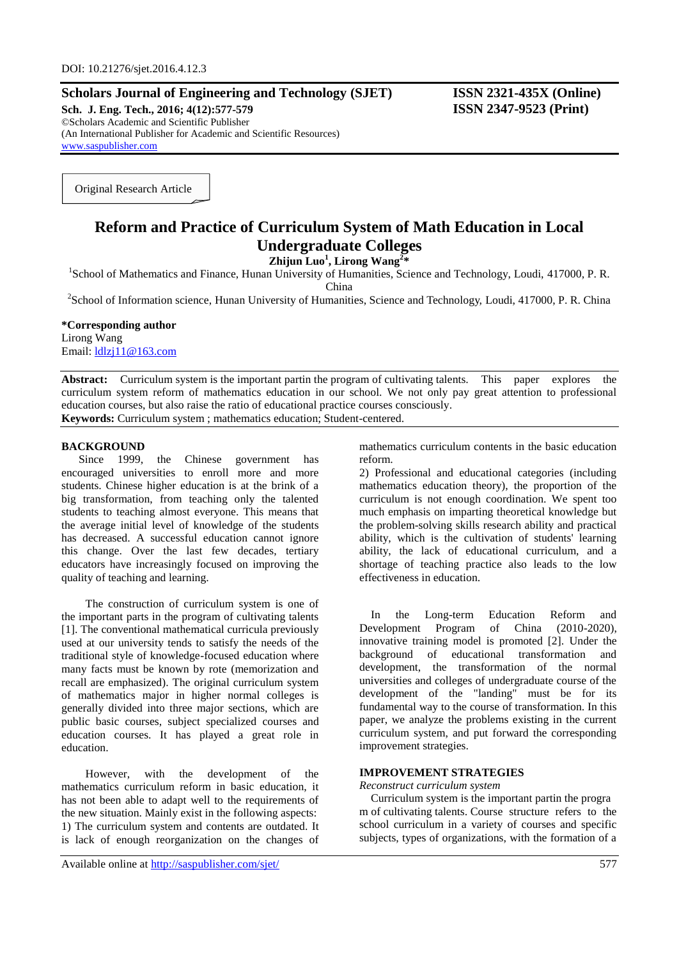# **Scholars Journal of Engineering and Technology (SJET) ISSN 2321-435X (Online)**

**Sch. J. Eng. Tech., 2016; 4(12):577-579 ISSN 2347-9523 (Print)** ©Scholars Academic and Scientific Publisher (An International Publisher for Academic and Scientific Resources) [www.saspublisher.com](http://www.saspublisher.com/)

Original Research Article

# **Reform and Practice of Curriculum System of Math Education in Local Undergraduate Colleges**

**Zhijun Luo<sup>1</sup> , Lirong Wang<sup>2</sup> \***

<sup>1</sup>School of Mathematics and Finance, Hunan University of Humanities, Science and Technology, Loudi, 417000, P. R.

China

<sup>2</sup>School of Information science, Hunan University of Humanities, Science and Technology, Loudi, 417000, P. R. China

#### **\*Corresponding author**

Lirong Wang Email: [ldlzj11@163.com](mailto:ldlzj11@163.com)

Abstract: Curriculum system is the important partin the program of cultivating talents. This paper explores the curriculum system reform of mathematics education in our school. We not only pay great attention to professional education courses, but also raise the ratio of educational practice courses consciously. **Keywords:** Curriculum system ; mathematics education; Student-centered.

### **BACKGROUND**

Since 1999, the Chinese government has encouraged universities to enroll more and more students. Chinese higher education is at the brink of a big transformation, from teaching only the talented students to teaching almost everyone. This means that the average initial level of knowledge of the students has decreased. A successful education cannot ignore this change. Over the last few decades, tertiary educators have increasingly focused on improving the quality of teaching and learning.

The construction of curriculum system is one of the important parts in the program of cultivating talents [1]. The conventional mathematical curricula previously used at our university tends to satisfy the needs of the traditional style of knowledge-focused education where many facts must be known by rote (memorization and recall are emphasized). The original curriculum system of mathematics major in higher normal colleges is generally divided into three major sections, which are public basic courses, subject specialized courses and education courses. It has played a great role in education.

However, with the development of the mathematics curriculum reform in basic education, it has not been able to adapt well to the requirements of the new situation. Mainly exist in the following aspects: 1) The curriculum system and contents are outdated. It is lack of enough reorganization on the changes of

Available online at<http://saspublisher.com/sjet/> 577

mathematics curriculum contents in the basic education reform.

2) Professional and educational categories (including mathematics education theory), the proportion of the curriculum is not enough coordination. We spent too much emphasis on imparting theoretical knowledge but the problem-solving skills research ability and practical ability, which is the cultivation of students' learning ability, the lack of educational curriculum, and a shortage of teaching practice also leads to the low effectiveness in education.

In the Long-term Education Reform and Development Program of China (2010-2020), innovative training model is promoted [2]. Under the background of educational transformation and development, the transformation of the normal universities and colleges of undergraduate course of the development of the "landing" must be for its fundamental way to the course of transformation. In this paper, we analyze the problems existing in the current curriculum system, and put forward the corresponding improvement strategies.

## **IMPROVEMENT STRATEGIES**

*Reconstruct curriculum system* 

Curriculum system is the important partin the progra m of cultivating talents. Course structure refers to the school curriculum in a variety of courses and specific subjects, types of organizations, with the formation of a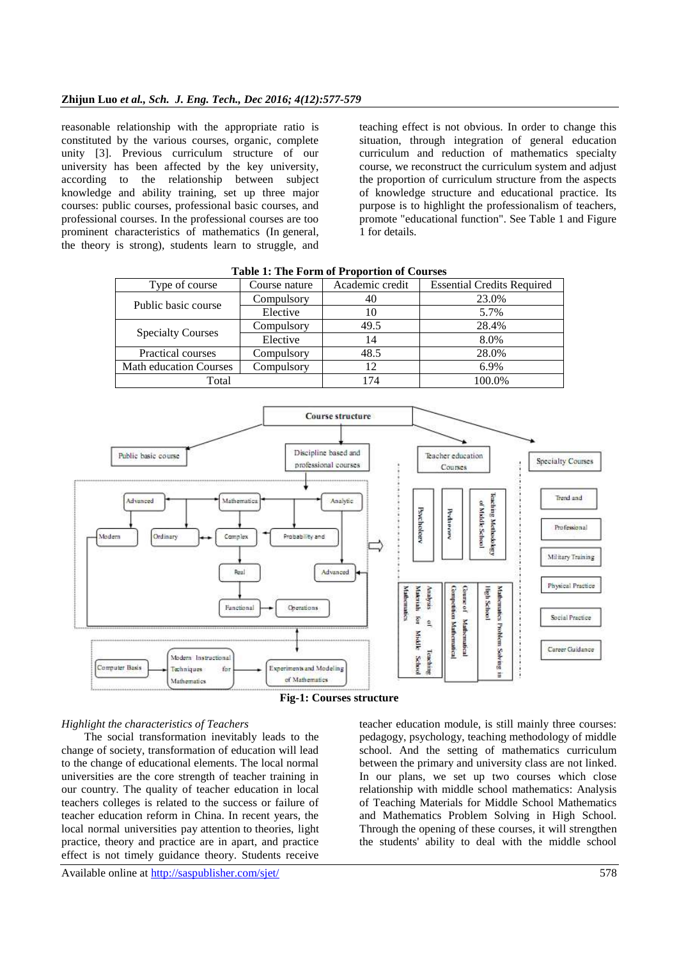reasonable relationship with the appropriate ratio is constituted by the various courses, organic, complete unity [3]. Previous curriculum structure of our university has been affected by the key university, according to the relationship between subject knowledge and ability training, set up three major courses: public courses, professional basic courses, and professional courses. In the professional courses are too prominent characteristics of mathematics (In general, the theory is strong), students learn to struggle, and

teaching effect is not obvious. In order to change this situation, through integration of general education curriculum and reduction of mathematics specialty course, we reconstruct the curriculum system and adjust the proportion of curriculum structure from the aspects of knowledge structure and educational practice. Its purpose is to highlight the professionalism of teachers, promote "educational function". See Table 1 and Figure 1 for details.

| Type of course                | Course nature | Academic credit | <b>Essential Credits Required</b> |
|-------------------------------|---------------|-----------------|-----------------------------------|
| Public basic course           | Compulsory    | 40              | 23.0%                             |
|                               | Elective      | 10              | 5.7%                              |
| <b>Specialty Courses</b>      | Compulsory    | 49.5            | 28.4%                             |
|                               | Elective      | 14              | 8.0%                              |
| <b>Practical courses</b>      | Compulsory    | 48.5            | 28.0%                             |
| <b>Math education Courses</b> | Compulsory    | 12              | 6.9%                              |
| Total                         |               | 174             | 100.0%                            |

**Table 1: The Form of Proportion of Courses**



**Fig-1: Courses structure**

### *Highlight the characteristics of Teachers*

The social transformation inevitably leads to the change of society, transformation of education will lead to the change of educational elements. The local normal universities are the core strength of teacher training in our country. The quality of teacher education in local teachers colleges is related to the success or failure of teacher education reform in China. In recent years, the local normal universities pay attention to theories, light practice, theory and practice are in apart, and practice effect is not timely guidance theory. Students receive

teacher education module, is still mainly three courses: pedagogy, psychology, teaching methodology of middle school. And the setting of mathematics curriculum between the primary and university class are not linked. In our plans, we set up two courses which close relationship with middle school mathematics: Analysis of Teaching Materials for Middle School Mathematics and Mathematics Problem Solving in High School. Through the opening of these courses, it will strengthen the students' ability to deal with the middle school